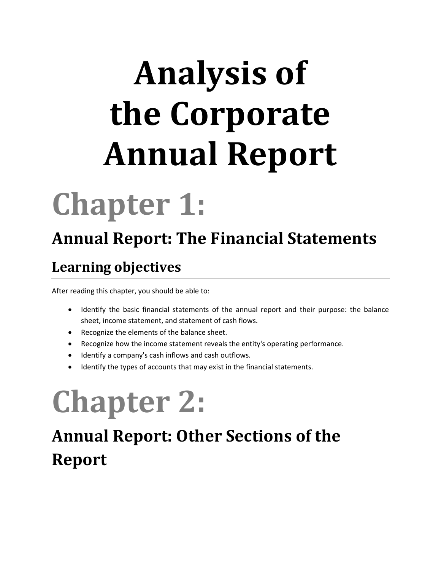# **Analysis of the Corporate Annual Report**

## **Chapter 1:**

### **Annual Report: The Financial Statements**

#### **Learning objectives**

After reading this chapter, you should be able to:

- Identify the basic financial statements of the annual report and their purpose: the balance sheet, income statement, and statement of cash flows.
- Recognize the elements of the balance sheet.
- Recognize how the income statement reveals the entity's operating performance.
- Identify a company's cash inflows and cash outflows.
- Identify the types of accounts that may exist in the financial statements.

## **Chapter 2:**

### **Annual Report: Other Sections of the Report**